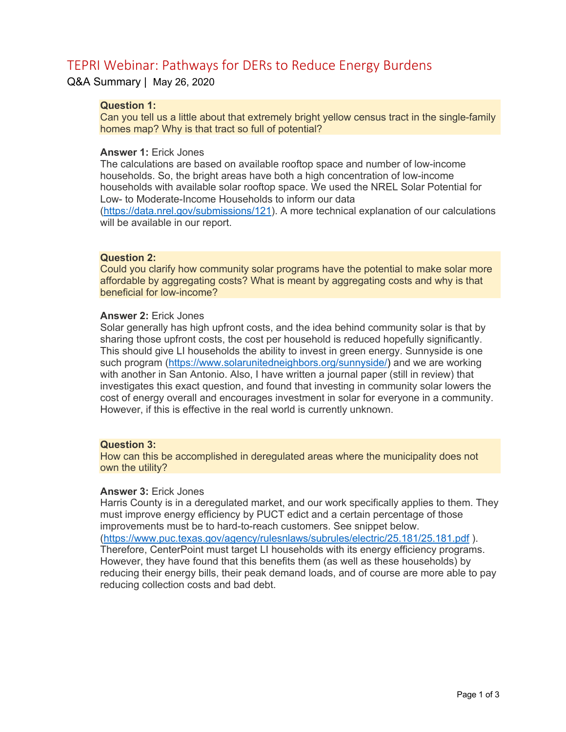# TEPRI Webinar: Pathways for DERs to Reduce Energy Burdens

Q&A Summary | May 26, 2020

# **Question 1:**

Can you tell us a little about that extremely bright yellow census tract in the single-family homes map? Why is that tract so full of potential?

### **Answer 1:** Erick Jones

The calculations are based on available rooftop space and number of low-income households. So, the bright areas have both a high concentration of low-income households with available solar rooftop space. We used the NREL Solar Potential for Low- to Moderate-Income Households to inform our data (https://data.nrel.gov/submissions/121). A more technical explanation of our calculations will be available in our report.

#### **Question 2:**

Could you clarify how community solar programs have the potential to make solar more affordable by aggregating costs? What is meant by aggregating costs and why is that beneficial for low-income?

## **Answer 2:** Erick Jones

Solar generally has high upfront costs, and the idea behind community solar is that by sharing those upfront costs, the cost per household is reduced hopefully significantly. This should give LI households the ability to invest in green energy. Sunnyside is one such program (https://www.solarunitedneighbors.org/sunnyside/) and we are working with another in San Antonio. Also, I have written a journal paper (still in review) that investigates this exact question, and found that investing in community solar lowers the cost of energy overall and encourages investment in solar for everyone in a community. However, if this is effective in the real world is currently unknown.

## **Question 3:**

How can this be accomplished in deregulated areas where the municipality does not own the utility?

#### **Answer 3:** Erick Jones

Harris County is in a deregulated market, and our work specifically applies to them. They must improve energy efficiency by PUCT edict and a certain percentage of those improvements must be to hard-to-reach customers. See snippet below. (https://www.puc.texas.gov/agency/rulesnlaws/subrules/electric/25.181/25.181.pdf ). Therefore, CenterPoint must target LI households with its energy efficiency programs. However, they have found that this benefits them (as well as these households) by reducing their energy bills, their peak demand loads, and of course are more able to pay reducing collection costs and bad debt.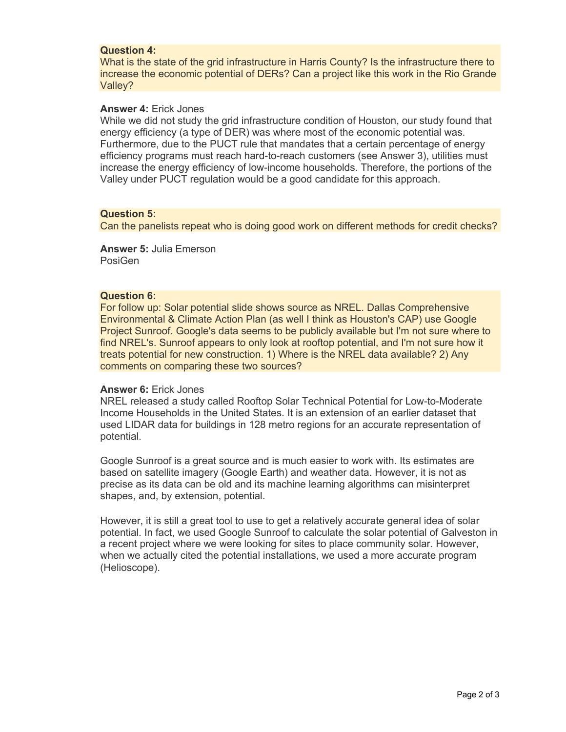## **Question 4:**

What is the state of the grid infrastructure in Harris County? Is the infrastructure there to increase the economic potential of DERs? Can a project like this work in the Rio Grande Valley?

## **Answer 4:** Erick Jones

While we did not study the grid infrastructure condition of Houston, our study found that energy efficiency (a type of DER) was where most of the economic potential was. Furthermore, due to the PUCT rule that mandates that a certain percentage of energy efficiency programs must reach hard-to-reach customers (see Answer 3), utilities must increase the energy efficiency of low-income households. Therefore, the portions of the Valley under PUCT regulation would be a good candidate for this approach.

# **Question 5:**

Can the panelists repeat who is doing good work on different methods for credit checks?

**Answer 5:** Julia Emerson PosiGen

#### **Question 6:**

For follow up: Solar potential slide shows source as NREL. Dallas Comprehensive Environmental & Climate Action Plan (as well I think as Houston's CAP) use Google Project Sunroof. Google's data seems to be publicly available but I'm not sure where to find NREL's. Sunroof appears to only look at rooftop potential, and I'm not sure how it treats potential for new construction. 1) Where is the NREL data available? 2) Any comments on comparing these two sources?

#### **Answer 6:** Erick Jones

NREL released a study called Rooftop Solar Technical Potential for Low-to-Moderate Income Households in the United States. It is an extension of an earlier dataset that used LIDAR data for buildings in 128 metro regions for an accurate representation of potential.

Google Sunroof is a great source and is much easier to work with. Its estimates are based on satellite imagery (Google Earth) and weather data. However, it is not as precise as its data can be old and its machine learning algorithms can misinterpret shapes, and, by extension, potential.

However, it is still a great tool to use to get a relatively accurate general idea of solar potential. In fact, we used Google Sunroof to calculate the solar potential of Galveston in a recent project where we were looking for sites to place community solar. However, when we actually cited the potential installations, we used a more accurate program (Helioscope).